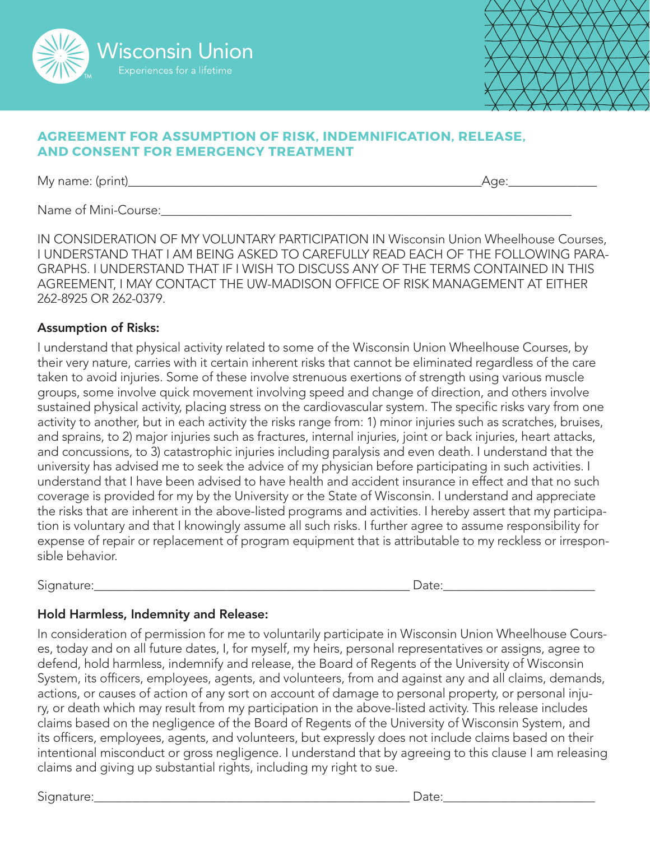



## **AGREEMENT FOR ASSUMPTION OF RISK, INDEMNIFICATION, RELEASE, AND CONSENT FOR EMERGENCY TREATMENT**

My name: (print)\_\_\_\_\_\_\_\_\_\_\_\_\_\_\_\_\_\_\_\_\_\_\_\_\_\_\_\_\_\_\_\_\_\_\_\_\_\_\_\_\_\_\_\_\_\_\_\_\_\_\_\_\_\_\_\_Age:\_\_\_\_\_\_\_\_\_\_\_\_\_\_

Name of Mini-Course:

IN CONSIDERATION OF MY VOLUNTARY PARTICIPATION IN Wisconsin Union Wheelhouse Courses, I UNDERSTAND THAT I AM BEING ASKED TO CAREFULLY READ EACH OF THE FOLLOWING PARA-GRAPHS. I UNDERSTAND THAT IF I WISH TO DISCUSS ANY OF THE TERMS CONTAINED IN THIS AGREEMENT, I MAY CONTACT THE UW-MADISON OFFICE OF RISK MANAGEMENT AT EITHER 262-8925 OR 262-0379.

## Assumption of Risks:

I understand that physical activity related to some of the Wisconsin Union Wheelhouse Courses, by their very nature, carries with it certain inherent risks that cannot be eliminated regardless of the care taken to avoid injuries. Some of these involve strenuous exertions of strength using various muscle groups, some involve quick movement involving speed and change of direction, and others involve sustained physical activity, placing stress on the cardiovascular system. The specific risks vary from one activity to another, but in each activity the risks range from: 1) minor injuries such as scratches, bruises, and sprains, to 2) major injuries such as fractures, internal injuries, joint or back injuries, heart attacks, and concussions, to 3) catastrophic injuries including paralysis and even death. I understand that the university has advised me to seek the advice of my physician before participating in such activities. I understand that I have been advised to have health and accident insurance in effect and that no such coverage is provided for my by the University or the State of Wisconsin. I understand and appreciate the risks that are inherent in the above-listed programs and activities. I hereby assert that my participation is voluntary and that I knowingly assume all such risks. I further agree to assume responsibility for expense of repair or replacement of program equipment that is attributable to my reckless or irresponsible behavior.

Signature:  $\Box$ 

# Hold Harmless, Indemnity and Release:

In consideration of permission for me to voluntarily participate in Wisconsin Union Wheelhouse Courses, today and on all future dates, I, for myself, my heirs, personal representatives or assigns, agree to defend, hold harmless, indemnify and release, the Board of Regents of the University of Wisconsin System, its officers, employees, agents, and volunteers, from and against any and all claims, demands, actions, or causes of action of any sort on account of damage to personal property, or personal injury, or death which may result from my participation in the above-listed activity. This release includes claims based on the negligence of the Board of Regents of the University of Wisconsin System, and its officers, employees, agents, and volunteers, but expressly does not include claims based on their intentional misconduct or gross negligence. I understand that by agreeing to this clause I am releasing claims and giving up substantial rights, including my right to sue.

Signature:\_\_\_\_\_\_\_\_\_\_\_\_\_\_\_\_\_\_\_\_\_\_\_\_\_\_\_\_\_\_\_\_\_\_\_\_\_\_\_\_\_\_\_\_\_\_\_\_\_\_ Date:\_\_\_\_\_\_\_\_\_\_\_\_\_\_\_\_\_\_\_\_\_\_\_\_